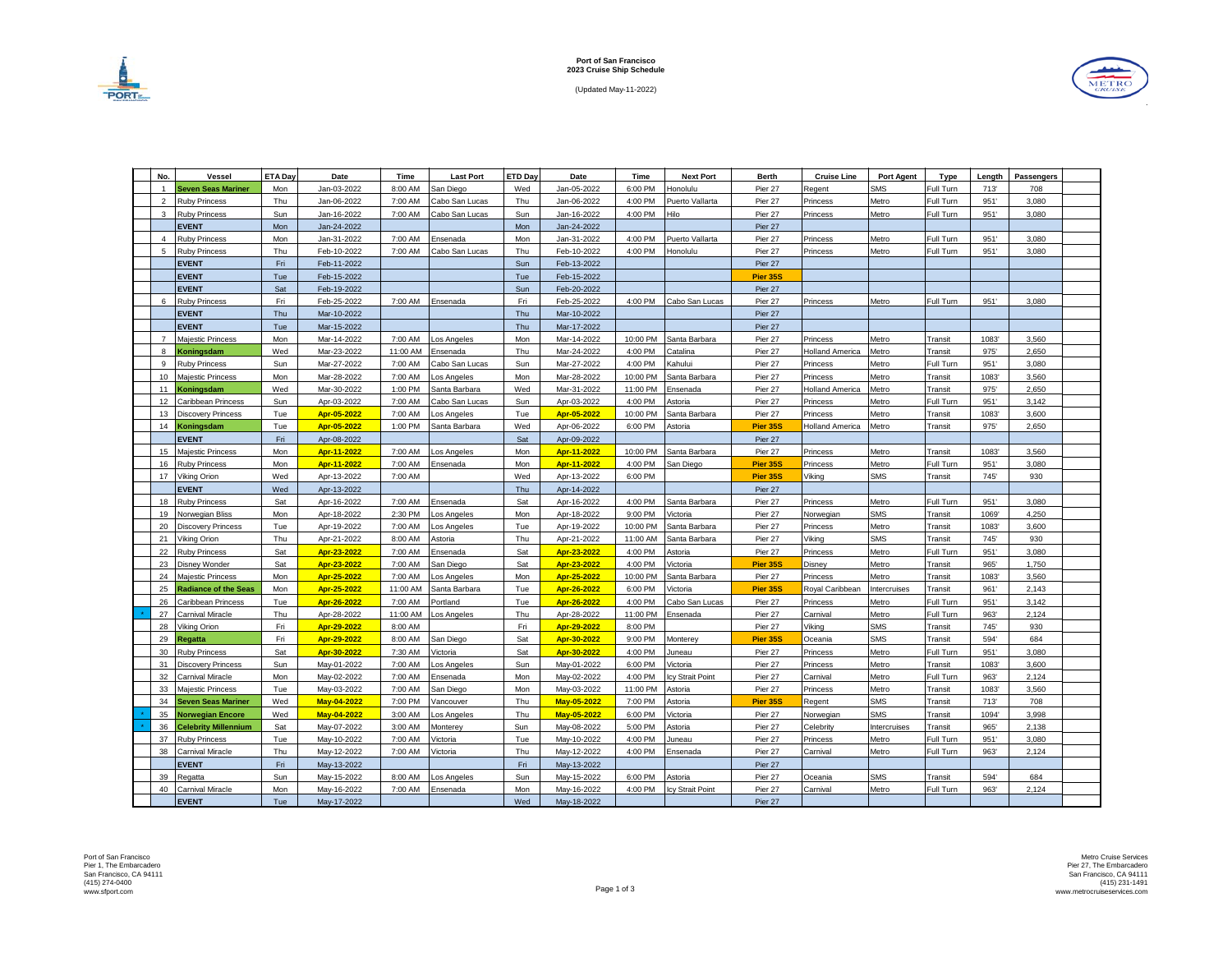

(Updated May-11-2022)



| No.            | Vessel                      | ETA Da | Date        | Time     | <b>Last Port</b> | ETD Day | Date        | Time     | <b>Next Port</b> | Berth           | <b>Cruise Line</b>     | <b>Port Agent</b> | Type           | Length | Passengers |  |
|----------------|-----------------------------|--------|-------------|----------|------------------|---------|-------------|----------|------------------|-----------------|------------------------|-------------------|----------------|--------|------------|--|
| $\overline{1}$ | Seven Seas Mariner          | Mon    | Jan-03-2022 | 8:00 AM  | San Diego        | Wed     | Jan-05-2022 | 6:00 PM  | donolulu         | Pier 27         | egent                  | <b>SMS</b>        | Full Turn      | 713    | 708        |  |
| 2              | <b>Ruby Princess</b>        | Thu    | Jan-06-2022 | 7:00 AM  | Cabo San Lucas   | Thu     | Jan-06-2022 | 4:00 PM  | Puerto Vallarta  | Pier 27         | <sup>2</sup> rincess   | Metro             | Full Turn      | 951'   | 3,080      |  |
| $\mathbf{3}$   | <b>Ruby Princess</b>        | Sun    | Jan-16-2022 | 7:00 AM  | Cabo San Lucas   | Sun     | Jan-16-2022 | 4:00 PM  | Hilo             | Pier 27         | Princess               | Metro             | Full Turn      | 951'   | 3,080      |  |
|                | <b>EVENT</b>                | Mon    | Jan-24-2022 |          |                  | Mon     | Jan-24-2022 |          |                  | Pier 27         |                        |                   |                |        |            |  |
| $\overline{4}$ | <b>Ruby Princess</b>        | Mon    | Jan-31-2022 | 7:00 AM  | insenada         | Mon     | Jan-31-2022 | 4:00 PM  | Puerto Vallarta  | Pier 27         | Princess               | Metro             | Full Turn      | 951'   | 3,080      |  |
| 5              | <b>Ruby Princess</b>        | Thu    | Feb-10-2022 | 7:00 AM  | Cabo San Lucas   | Thu     | Feb-10-2022 | 4:00 PM  | Honolulu         | Pier 27         | Princess               | Metro             | Full Turn      | 951'   | 3,080      |  |
|                | <b>EVENT</b>                | Fri    | Feb-11-2022 |          |                  | Sun     | Feb-13-2022 |          |                  | Pier 27         |                        |                   |                |        |            |  |
|                | <b>EVENT</b>                | Tue    | Feb-15-2022 |          |                  | Tue     | Feb-15-2022 |          |                  | Pier 35S        |                        |                   |                |        |            |  |
|                | <b>EVENT</b>                | Sat    | Feb-19-2022 |          |                  | Sun     | Feb-20-2022 |          |                  | Pier 27         |                        |                   |                |        |            |  |
| 6              | <b>Ruby Princess</b>        | Fri    | Feb-25-2022 | 7:00 AM  | Ensenada         | Fri     | Feb-25-2022 | 4:00 PM  | Cabo San Lucas   | Pier 27         | Princess               | Metro             | Full Turn      | 951'   | 3,080      |  |
|                | <b>EVENT</b>                | Thu    | Mar-10-2022 |          |                  | Thu     | Mar-10-2022 |          |                  | Pier 27         |                        |                   |                |        |            |  |
|                | <b>EVENT</b>                | Tue    | Mar-15-2022 |          |                  | Thu     | Mar-17-2022 |          |                  | Pier 27         |                        |                   |                |        |            |  |
| $\overline{7}$ | Majestic Princess           | Mon    | Mar-14-2022 | 7:00 AM  | os Angeles       | Mon     | Mar-14-2022 | 10:00 PM | Santa Barbara    | Pier 27         | Princess               | Metro             | Transit        | 1083   | 3,560      |  |
| 8              | Koningsdam                  | Wed    | Mar-23-2022 | 11:00 AM | :nsenada         | Thu     | Mar-24-2022 | 4:00 PM  | Catalina         | Pier 27         | <b>Iolland America</b> | Metro             | Transit        | 975'   | 2,650      |  |
| 9              | <b>Ruby Princess</b>        | Sun    | Mar-27-2022 | 7:00 AM  | Cabo San Lucas   | Sun     | Mar-27-2022 | 4:00 PM  | Kahului          | Pier 27         | Princess               | Metro             | Full Turn      | 951'   | 3,080      |  |
| 10             | Maiestic Princess           | Mon    | Mar-28-2022 | 7:00 AM  | os Angeles       | Mon     | Mar-28-2022 | 10:00 PM | Santa Barbara    | Pier 27         | Princess               | Metro             | Transit        | 1083   | 3,560      |  |
| 11             | Koningsdam                  | Wed    | Mar-30-2022 | 1:00 PM  | Santa Barbara    | Wed     | Mar-31-2022 | 11:00 PM | Ensenada         | Pier 27         | Holland America        | Metro             | <b>Transit</b> | 975'   | 2,650      |  |
| 12             | Caribbean Princess          | Sun    | Apr-03-2022 | 7:00 AM  | Cabo San Lucas   | Sun     | Apr-03-2022 | 4:00 PM  | Astoria          | Pier 27         | Princess               | Metro             | Full Turn      | 951'   | 3.142      |  |
| 13             | Discovery Princess          | Tue    | Apr-05-2022 | 7:00 AM  | os Angeles       | Tue     | Apr-05-2022 | 10:00 PM | Santa Barbara    | Pier 27         | Princess               | Metro             | Transit        | 1083   | 3,600      |  |
| 14             | <b>Coningsdam</b>           | Tue    | Apr-05-2022 | 1:00 PM  | Santa Barbara    | Wed     | Apr-06-2022 | 6:00 PM  | Astoria          | Pier 35S        | <b>Holland America</b> | Metro             | <b>Transit</b> | 975    | 2,650      |  |
|                | <b>EVENT</b>                | Fri    | Apr-08-2022 |          |                  | Sat     | Apr-09-2022 |          |                  | Pier 27         |                        |                   |                |        |            |  |
| 15             | Majestic Princess           | Mon    | Apr-11-2022 | 7:00 AM  | os Angeles       | Mon     | Apr-11-2022 | 10:00 PM | Santa Barbara    | Pier 27         | Princess               | Metro             | Transit        | 1083   | 3,560      |  |
| 16             | <b>Ruby Princess</b>        | Mon    | Apr-11-2022 | 7:00 AM  | Ensenada         | Mon     | Apr-11-2022 | 4:00 PM  | San Diego        | Pier 35S        | Princess               | Metro             | Full Turn      | 951'   | 3,080      |  |
| 17             | /iking Orion                | Wed    | Apr-13-2022 | 7:00 AM  |                  | Wed     | Apr-13-2022 | 6:00 PM  |                  | <b>Pier 35S</b> | Viking                 | <b>SMS</b>        | Transit        | 745    | 930        |  |
|                | <b>EVENT</b>                | Wed    | Apr-13-2022 |          |                  | Thu     | Apr-14-2022 |          |                  | Pier 27         |                        |                   |                |        |            |  |
| 18             | <b>Ruby Princess</b>        | Sat    | Apr-16-2022 | 7:00 AM  | Ensenada         | Sat     | Apr-16-2022 | 4:00 PM  | Santa Barbara    | Pier 27         | Princess               | Metro             | Full Turn      | 951'   | 3,080      |  |
| 19             | Norwegian Bliss             | Mon    | Apr-18-2022 | 2:30 PM  | os Angeles       | Mon     | Apr-18-2022 | 9:00 PM  | /ictoria         | Pier 27         | Norwegian              | <b>SMS</b>        | Transit        | 1069   | 4,250      |  |
| 20             | <b>Discovery Princess</b>   | Tue    | Apr-19-2022 | 7:00 AM  | os Angeles       | Tue     | Apr-19-2022 | 10:00 PM | Santa Barbara    | Pier 27         | Princess               | Metro             | Transit        | 1083   | 3,600      |  |
| 21             | /ikina Orion                | Thu    | Apr-21-2022 | 8:00 AM  | Astoria          | Thu     | Apr-21-2022 | 11:00 AM | Santa Barbara    | Pier 27         | Vikina                 | <b>SMS</b>        | Transit        | 745    | 930        |  |
| 22             | <b>Ruby Princess</b>        | Sat    | Apr-23-2022 | 7:00 AM  | Ensenada         | Sat     | Apr-23-2022 | 4:00 PM  | Astoria          | Pier 27         | Princess               | Metro             | Full Turn      | 951'   | 3.080      |  |
| 23             | Disnev Wonder               | Sat    | Apr-23-2022 | 7:00 AM  | San Diego        | Sat     | Apr-23-2022 | 4:00 PM  | /ictoria         | Pier 35S        | <b>Disney</b>          | Metro             | Transit        | 965'   | 1.750      |  |
| 24             | Majestic Princess           | Mon    | Apr-25-2022 | 7:00 AM  | os Angeles       | Mon     | Apr-25-2022 | 10:00 PM | Santa Barbara    | Pier 27         | Princess               | Metro             | Transit        | 1083   | 3,560      |  |
| 25             | Radiance of the Seas        | Mon    | Apr-25-2022 | 11:00 AM | Santa Barbara    | Tue     | Apr-26-2022 | 6:00 PM  | /ictoria         | Pier 35S        | Royal Caribbean        | Intercruises      | Transit        | 961'   | 2,143      |  |
| 26             | Caribbean Princess          | Tue    | Apr-26-2022 | 7:00 AM  | Portland         | Tue     | Apr-26-2022 | 4:00 PM  | Cabo San Lucas   | Pier 27         | Princess               | Metro             | Full Turn      | 951'   | 3,142      |  |
| 27             | Carnival Miracle            | Thu    | Apr-28-2022 | 11:00 AM | os Angeles       | Thu     | Apr-28-2022 | 11:00 PM | Ensenada         | Pier 27         | Carnival               | Metro             | Full Turn      | 963    | 2,124      |  |
| 28             | /iking Orion                | Fri    | Apr-29-2022 | 8:00 AM  |                  | Fri     | Apr-29-2022 | 8:00 PM  |                  | Pier 27         | Viking                 | <b>SMS</b>        | Transit        | 745    | 930        |  |
| 29             | Regatta                     | Fri    | Apr-29-2022 | 8:00 AM  | San Diego        | Sat     | Apr-30-2022 | 9:00 PM  | Monterey         | Pier 35S        | Oceania                | <b>SMS</b>        | Transit        | 594    | 684        |  |
| 30             | <b>Ruby Princess</b>        | Sat    | Apr-30-2022 | 7:30 AM  | <b>Victoria</b>  | Sat     | Apr-30-2022 | 4:00 PM  | luneau           | Pier 27         | Princess               | Metro             | Full Turn      | 951'   | 3,080      |  |
| 31             | <b>Discovery Princess</b>   | Sun    | May-01-2022 | 7:00 AM  | Los Angeles      | Sun     | May-01-2022 | 6:00 PM  | /ictoria         | Pier 27         | Princess               | Metro             | Transit        | 1083   | 3,600      |  |
| 32             | Carnival Miracle            | Mon    | May-02-2022 | 7:00 AM  | Ensenada         | Mon     | May-02-2022 | 4:00 PM  | cy Strait Point  | Pier 27         | Carnival               | Metro             | Full Turn      | 963    | 2,124      |  |
| 33             | Maiestic Princess           | Tue    | May-03-2022 | 7:00 AM  | San Diego        | Mon     | May-03-2022 | 11:00 PM | Astoria          | Pier 27         | Princess               | Metro             | Transit        | 1083   | 3,560      |  |
| 34             | Seven Seas Mariner          | Wed    | Mav-04-2022 | 7:00 PM  | ancouver         | Thu     | Mav-05-2022 | 7:00 PM  | Astoria          | Pier 35S        | Regent                 | <b>SMS</b>        | Transit        | 713'   | 708        |  |
| 35             | Norwegian Encore            | Wed    | May-04-2022 | 3:00 AM  | os Angeles       | Thu     | May-05-2022 | 6:00 PM  | /ictoria         | Pier 27         | Norwegian              | <b>SMS</b>        | Transit        | 1094   | 3.998      |  |
| 36             | <b>Celebrity Millennium</b> | Sat    | Mav-07-2022 | 3:00 AM  | Monterev         | Sun     | May-08-2022 | 5:00 PM  | Astoria          | Pier 27         | Celebrity              | Intercruises      | <b>Transit</b> | 965'   | 2.138      |  |
| 37             | <b>Ruby Princess</b>        | Tue    | May-10-2022 | 7:00 AM  | /ictoria         | Tue     | May-10-2022 | 4:00 PM  | uneau            | Pier 27         | Princess               | Metro             | Full Turn      | 951    | 3.080      |  |
| 38             | Carnival Miracle            | Thu    | May-12-2022 | 7:00 AM  | /ictoria         | Thu     | May-12-2022 | 4:00 PM  | Ensenada         | Pier 27         | Carnival               | Metro             | Full Turn      | 963    | 2,124      |  |
|                | <b>EVENT</b>                | Fri    | May-13-2022 |          |                  | Fri     | May-13-2022 |          |                  | Pier 27         |                        |                   |                |        |            |  |
| 39             | Regatta                     | Sun    | May-15-2022 | 8:00 AM  | os Angeles       | Sun     | May-15-2022 | 6:00 PM  | Astoria          | Pier 27         | Oceania                | <b>SMS</b>        | <b>Transit</b> | 594    | 684        |  |
| 40             | Carnival Miracle            | Mon    | May-16-2022 | 7:00 AM  | Ensenada         | Mon     | May-16-2022 | 4:00 PM  | cy Strait Point  | Pier 27         | Carnival               | Metro             | Full Turn      | 963    | 2,124      |  |
|                | <b>EVENT</b>                | Tue    | May-17-2022 |          |                  | Wed     | May-18-2022 |          |                  | Pier 27         |                        |                   |                |        |            |  |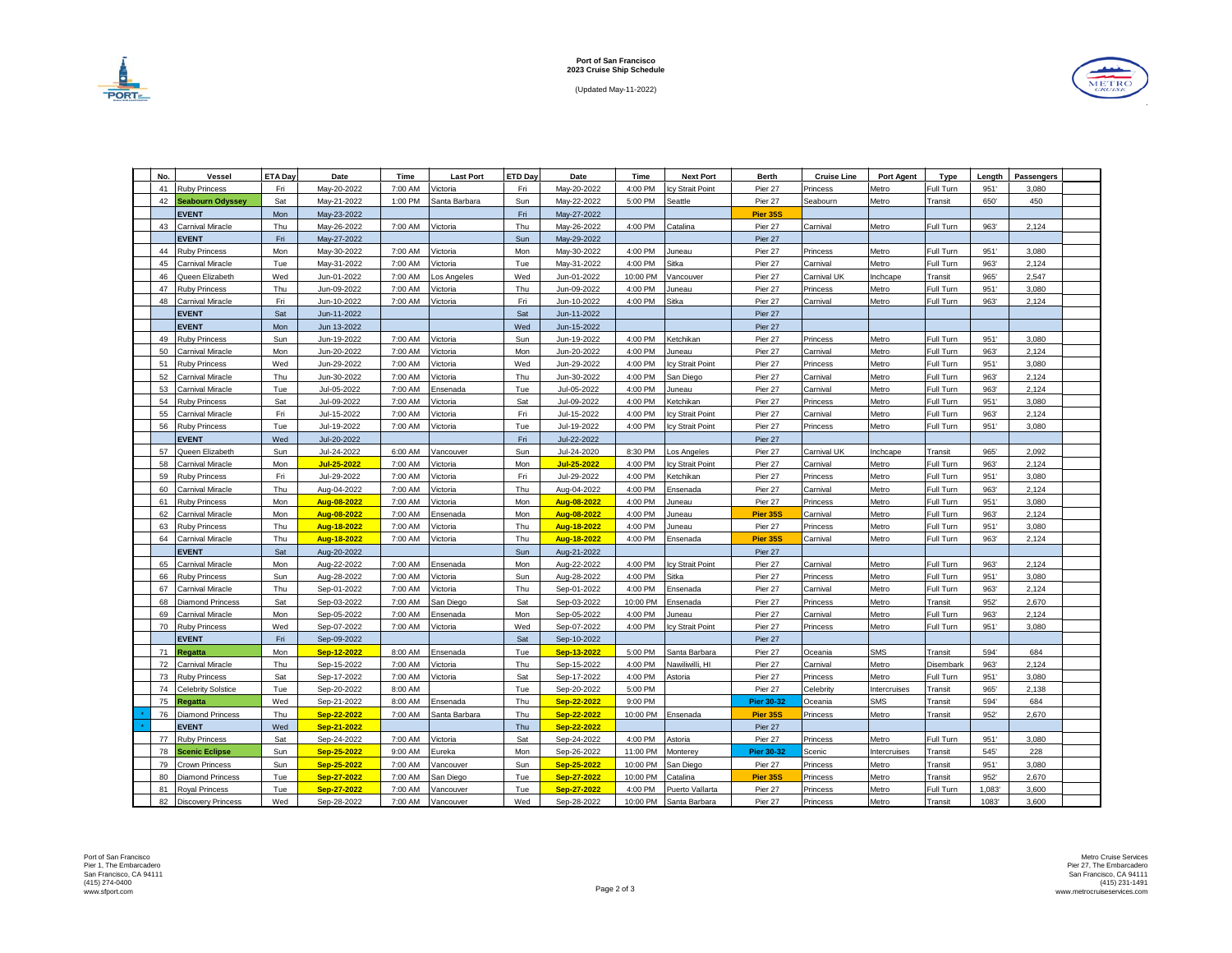

(Updated May-11-2022)



| No. | Vessel                    | ETA Da     |             | Time    | <b>Last Port</b>      | ETD Day    | Date        | Time     |                        | <b>Berth</b>      | <b>Cruise Line</b> |                     |                |        |            |  |
|-----|---------------------------|------------|-------------|---------|-----------------------|------------|-------------|----------|------------------------|-------------------|--------------------|---------------------|----------------|--------|------------|--|
| 41  |                           |            | Date        |         |                       |            |             |          | <b>Next Port</b>       |                   |                    | <b>Port Agent</b>   | Type           | Length | Passengers |  |
|     | <b>Ruby Princess</b>      | Fri        | Mav-20-2022 | 7:00 AM | /ictoria              | Fri        | May-20-2022 | 4:00 PM  | v Strait Point         | Pier 27           | Princess           | Metro               | Full Turn      | 951'   | 3.080      |  |
| 42  | Seabourn Odyssey          | Sat        | Mav-21-2022 | 1:00 PM | Santa Barbara         | Sun        | May-22-2022 | 5:00 PM  | Seattle                | Pier 27           | Seabourn           | Metro               | <b>Transit</b> | 650'   | 450        |  |
|     | <b>EVENT</b>              | Mon        | May-23-2022 |         |                       | Fri        | May-27-2022 |          |                        | Pier 35S          |                    |                     |                |        |            |  |
| 43  | Carnival Miracle          | Thu        | May-26-2022 | 7:00 AM | Victoria              | Thu        | May-26-2022 | 4:00 PM  | Catalina               | Pier 27           | Carnival           | Metro               | Full Turn      | 963    | 2,124      |  |
|     | <b>EVENT</b>              | Fri        | May-27-2022 |         |                       | Sun        | May-29-2022 |          |                        | Pier 27           |                    |                     |                |        |            |  |
| 44  | Ruby Princess             | Mon        | May-30-2022 | 7:00 AM | /ictoria              | Mon        | May-30-2022 | 4:00 PM  | Juneau                 | Pier 27           | Princess           | Metro               | Full Turn      | 951'   | 3,080      |  |
| 45  | Carnival Miracle          | Tue        | May-31-2022 | 7:00 AM | Victoria              | Tue        | May-31-2022 | 4:00 PM  | Sitka                  | Pier 27           | Carnival           | Metro               | Full Turn      | 963    | 2,124      |  |
| 46  | Queen Elizabeth           | Wed        | Jun-01-2022 | 7:00 AM | os Angeles            | Wed        | Jun-01-2022 | 10:00 PM | /ancouver              | Pier 27           | Carnival UK        | nchcape             | Transit        | 965    | 2,547      |  |
| 47  | <b>Ruby Princess</b>      | Thu        | Jun-09-2022 | 7:00 AM | /ictoria              | Thu        | Jun-09-2022 | 4:00 PM  | Juneau                 | Pier 27           | Princess           | Metro               | Full Turn      | 951    | 3,080      |  |
| 48  | Carnival Miracle          | Fri        | Jun-10-2022 | 7:00 AM | Victoria              | Fri        | Jun-10-2022 | 4:00 PM  | Sitka                  | Pier 27           | Carnival           | Metro               | Full Turn      | 963    | 2,124      |  |
|     | <b>EVENT</b>              | Sat        | Jun-11-2022 |         |                       | Sat        | Jun-11-2022 |          |                        | Pier 27           |                    |                     |                |        |            |  |
|     | <b>EVENT</b>              | Mon        | Jun 13-2022 |         |                       | Wed        | Jun-15-2022 |          |                        | Pier 27           |                    |                     |                |        |            |  |
| 49  | <b>Ruby Princess</b>      | Sun        | Jun-19-2022 | 7:00 AM | /ictoria              | Sun        | Jun-19-2022 | 4:00 PM  | Ketchikan              | Pier 27           | Princess           | Metro               | Full Turn      | 951'   | 3,080      |  |
| 50  | Carnival Miracle          | Mon        | Jun-20-2022 | 7:00 AM | /ictoria              | Mon        | Jun-20-2022 | 4:00 PM  | Juneau                 | Pier 27           | Carnival           | Metro               | Full Turn      | 963    | 2,124      |  |
| 51  | <b>Ruby Princess</b>      | Wed        | Jun-29-2022 | 7:00 AM | /ictoria              | Wed        | Jun-29-2022 | 4:00 PM  | cy Strait Point        | Pier 27           | Princess           | Metro               | Full Turn      | 951    | 3,080      |  |
| 52  | Carnival Miracle          | Thu        | Jun-30-2022 | 7:00 AM | /ictoria              | Thu        | Jun-30-2022 | 4:00 PM  | San Diego              | Pier 27           | Carnival           | Metro               | Full Turn      | 963'   | 2,124      |  |
| 53  | Carnival Miracle          | Tue        | Jul-05-2022 | 7:00 AM | Ensenada              | Tue        | Jul-05-2022 | 4:00 PM  | Juneau                 | Pier 27           | Carnival           | Metro               | Full Turn      | 963'   | 2,124      |  |
| 54  | <b>Ruby Princess</b>      | Sat        | Jul-09-2022 | 7:00 AM | /ictoria              | Sat        | Jul-09-2022 | 4:00 PM  | Ketchikan              | Pier 27           | Princess           | Metro               | Full Turn      | 951    | 3,080      |  |
| 55  | Carnival Miracle          | Fri        | Jul-15-2022 | 7:00 AM | /ictoria              | Fri        | Jul-15-2022 | 4:00 PM  | y Strait Point         | Pier 27           | Carnival           | Metro               | Full Turn      | 963    | 2,124      |  |
| 56  | <b>Ruby Princess</b>      | Tue        | Jul-19-2022 | 7:00 AM | /ictoria              | Tue        | Jul-19-2022 | 4:00 PM  | v Strait Point         | Pier 27           | Princess           | Metro               | Full Turn      | 951    | 3,080      |  |
|     | <b>EVENT</b>              | Wed        | Jul-20-2022 |         |                       | Fri        | Jul-22-2022 |          |                        | Pier 27           |                    |                     |                |        |            |  |
| 57  | Queen Elizabeth           | Sun        | Jul-24-2022 | 6:00 AM | /ancouver             | Sun        | Jul-24-2020 | 8:30 PM  | os Angeles             | Pier 27           | Carnival UK        | nchcape             | Transit        | 965'   | 2.092      |  |
| 58  | Carnival Miracle          | Mon        | Jul-25-2022 | 7:00 AM | Victoria              | Mon        | Jul-25-2022 | 4:00 PM  | <b>cv Strait Point</b> | Pier 27           | Carnival           | Metro               | Full Turn      | 963    | 2,124      |  |
| 59  | <b>Ruby Princess</b>      | Fri        | Jul-29-2022 | 7:00 AM | /ictoria              | Fri        | Jul-29-2022 | 4:00 PM  | Ketchikan              | Pier 27           | Princess           | Metro               | Full Turn      | 951'   | 3.080      |  |
| 60  | Carnival Miracle          | Thu        | Aug-04-2022 | 7:00 AM | /ictoria              | Thu        | Aug-04-2022 | 4:00 PM  | Ensenada               | Pier 27           | Carnival           | Metro               | Full Turn      | 963    | 2,124      |  |
| 61  | <b>Ruby Princess</b>      | Mon        | Aug-08-2022 | 7:00 AM | /ictoria              | Mon        | Aug-08-2022 | 4:00 PM  | Juneau                 | Pier 27           | Princess           | Metro               | Full Turn      | 951'   | 3,080      |  |
| 62  | Carnival Miracle          | Mon        | Aug-08-2022 | 7:00 AM | Ensenada              | Mon        | Aug-08-2022 | 4:00 PM  | Juneau                 | Pier 35S          | Carnival           | Metro               | Full Turn      | 963    | 2,124      |  |
| 63  | <b>Ruby Princess</b>      | Thu        | Aug-18-2022 | 7:00 AM | /ictoria              | Thu        | Aug-18-2022 | 4:00 PM  | Juneau                 | Pier 27           | Princess           | Metro               | Full Turn      | 951    | 3,080      |  |
| 64  | Carnival Miracle          | Thu        | Aug-18-2022 | 7:00 AM | /ictoria              | Thu        | Aug-18-2022 | 4:00 PM  | Ensenada               | <b>Pier 35S</b>   | Carnival           | Metro               | Full Turn      | 963'   | 2,124      |  |
|     | <b>EVENT</b>              | Sat        | Aug-20-2022 |         |                       | Sun        | Aug-21-2022 |          |                        | Pier 27           |                    |                     |                |        |            |  |
| 65  | Carnival Miracle          | Mon        | Aug-22-2022 | 7:00 AM | Ensenada              | Mon        | Aug-22-2022 | 4:00 PM  | by Strait Point        | Pier 27           | Carnival           | Metro               | Full Turn      | 963'   | 2,124      |  |
| 66  | <b>Ruby Princess</b>      | Sun        | Aug-28-2022 | 7:00 AM | /ictoria              | Sun        | Aug-28-2022 | 4:00 PM  | Sitka                  | Pier 27           | Princess           | Metro               | Full Turn      | 951    | 3,080      |  |
| 67  | Carnival Miracle          | Thu        | Sep-01-2022 | 7:00 AM |                       | Thu        |             | 4:00 PM  |                        | Pier 27           | Carnival           | Metro               | Full Turn      | 963'   | 2,124      |  |
| 68  | Diamond Princess          | Sat        |             | 7:00 AM | /ictoria<br>San Diego | Sat        | Sep-01-2022 | 10:00 PM | Ensenada               | Pier 27           | Princess           | Metro               | <b>Transit</b> | 952    | 2,670      |  |
| 69  |                           |            | Sep-03-2022 |         |                       |            | Sep-03-2022 |          | Ensenada               |                   |                    |                     |                |        |            |  |
| 70  | Carnival Miracle          | Mon<br>Wed | Sep-05-2022 | 7:00 AM | Ensenada              | Mon        | Sep-05-2022 | 4:00 PM  | luneau                 | Pier 27           | Carnival           | Metro               | Full Turn      | 963    | 2,124      |  |
|     | <b>Ruby Princess</b>      |            | Sep-07-2022 | 7:00 AM | Victoria              | Wed        | Sep-07-2022 | 4:00 PM  | by Strait Point        | Pier 27           | Princess           | Metro               | Full Turn      | 951    | 3,080      |  |
|     | <b>EVENT</b>              | Fri        | Sep-09-2022 |         |                       | Sat        | Sep-10-2022 |          |                        | Pier 27           |                    |                     |                |        |            |  |
| 71  | Regatta                   | Mon        | Sep-12-2022 | 8:00 AM | Ensenada              | Tue        | Sep-13-2022 | 5:00 PM  | Santa Barbara          | Pier 27           | Oceania            | <b>SMS</b>          | Transit        | 594    | 684        |  |
| 72  | Carnival Miracle          | Thu        | Sep-15-2022 | 7:00 AM | /ictoria              | Thu        | Sep-15-2022 | 4:00 PM  | Nawiliwilli, HI        | Pier 27           | Carnival           | Metro               | Disembark      | 963    | 2,124      |  |
| 73  | <b>Ruby Princess</b>      | Sat        | Sep-17-2022 | 7:00 AM | /ictoria              | Sat        | Sep-17-2022 | 4:00 PM  | Astoria                | Pier 27           | Princess           | Metro               | Full Turn      | 951'   | 3,080      |  |
| 74  | Celebrity Solstice        | Tue        | Sep-20-2022 | 8:00 AM |                       | Tue        | Sep-20-2022 | 5:00 PM  |                        | Pier 27           | Celebrity          | ntercruises         | Transit        | 965'   | 2.138      |  |
| 75  | Regatta                   | Wed        | Sep-21-2022 | 8:00 AM | Ensenada              | Thu        | Sep-22-2022 | 9:00 PM  |                        | <b>Pier 30-32</b> | Oceania            | <b>SMS</b>          | Transit        | 594'   | 684        |  |
| 76  | <b>Diamond Princess</b>   | Thu        | Sep-22-2022 | 7:00 AM | Santa Barbara         | Thu        | Sep-22-2022 | 10:00 PM | Ensenada               | Pier 35S          | Princess           | Metro               | Transit        | 952'   | 2.670      |  |
|     | <b>EVENT</b>              | Wed        | Sep-21-2022 |         |                       | <b>Thu</b> | Sep-22-2022 |          |                        | Pier 27           |                    |                     |                |        |            |  |
| 77  | Ruby Princess             | Sat        | Sep-24-2022 | 7:00 AM | Victoria              | Sat        | Sep-24-2022 | 4:00 PM  | Astoria                | Pier 27           | Princess           | Metro               | Full Turn      | 951'   | 3,080      |  |
| 78  | <b>Scenic Eclipse</b>     | Sun        | Sep-25-2022 | 9:00 AM | Eureka                | Mon        | Sep-26-2022 | 11:00 PM | Monterey               | <b>Pier 30-32</b> | Scenic             | <b>Intercruises</b> | <b>Transit</b> | 545    | 228        |  |
| 79  | Crown Princess            | Sun        | Sep-25-2022 | 7:00 AM | /ancouver             | Sun        | Sep-25-2022 | 10:00 PM | San Diego              | Pier 27           | Princess           | Metro               | Transit        | 951'   | 3,080      |  |
| 80  | Diamond Princess          | Tue        | Sep-27-2022 | 7:00 AM | San Diego             | Tue        | Sep-27-2022 | 10:00 PM | Catalina               | Pier 35S          | Princess           | Metro               | Transit        | 952    | 2,670      |  |
| 81  | <b>Royal Princess</b>     | Tue        | Sep-27-2022 | 7:00 AM | Vancouver             | Tue        | Sep-27-2022 | 4:00 PM  | Puerto Vallarta        | Pier 27           | Princess           | Metro               | Full Turn      | 1,083  | 3,600      |  |
| 82  | <b>Discovery Princess</b> | Wed        | Sep-28-2022 | 7:00 AM | Vancouver             | Wed        | Sep-28-2022 | 10:00 PM | Santa Barbara          | Pier 27           | Princess           | Metro               | Transit        | 1083   | 3,600      |  |